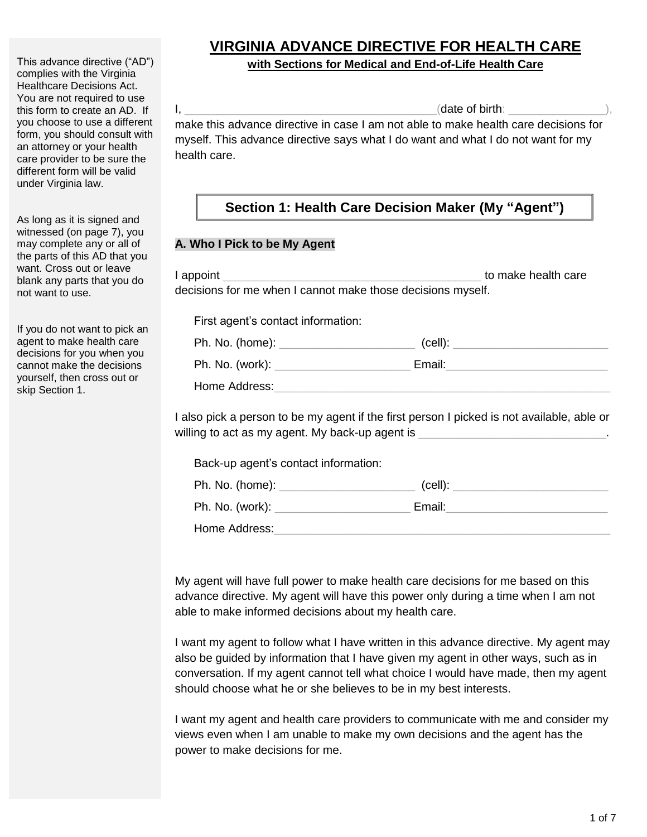This advance directive ("AD") complies with the Virginia Healthcare Decisions Act. You are not required to use this form to create an AD. If you choose to use a different form, you should consult with an attorney or your health care provider to be sure the different form will be valid under Virginia law.

As long as it is signed and witnessed (on page 7), you may complete any or all of the parts of this AD that you want. Cross out or leave blank any parts that you do not want to use.

If you do not want to pick an agent to make health care decisions for you when you cannot make the decisions yourself, then cross out or skip Section 1.

# **VIRGINIA ADVANCE DIRECTIVE FOR HEALTH CARE**

#### **with Sections for Medical and End-of-Life Health Care**

 $I,$ make this advance directive in case I am not able to make health care decisions for myself. This advance directive says what I do want and what I do not want for my health care.

## **Section 1: Health Care Decision Maker (My "Agent")**

#### **A. Who I Pick to be My Agent**

| First agent's contact information: |                             |  |
|------------------------------------|-----------------------------|--|
|                                    |                             |  |
|                                    | Email: <u>Communication</u> |  |
| Home Address:                      |                             |  |

Back-up agent's contact information:

| Ph. No. (home): | (cell): |
|-----------------|---------|
| Ph. No. (work): | Email:  |
| Home Address:   |         |

My agent will have full power to make health care decisions for me based on this advance directive. My agent will have this power only during a time when I am not able to make informed decisions about my health care.

I want my agent to follow what I have written in this advance directive. My agent may also be guided by information that I have given my agent in other ways, such as in conversation. If my agent cannot tell what choice I would have made, then my agent should choose what he or she believes to be in my best interests.

I want my agent and health care providers to communicate with me and consider my views even when I am unable to make my own decisions and the agent has the power to make decisions for me.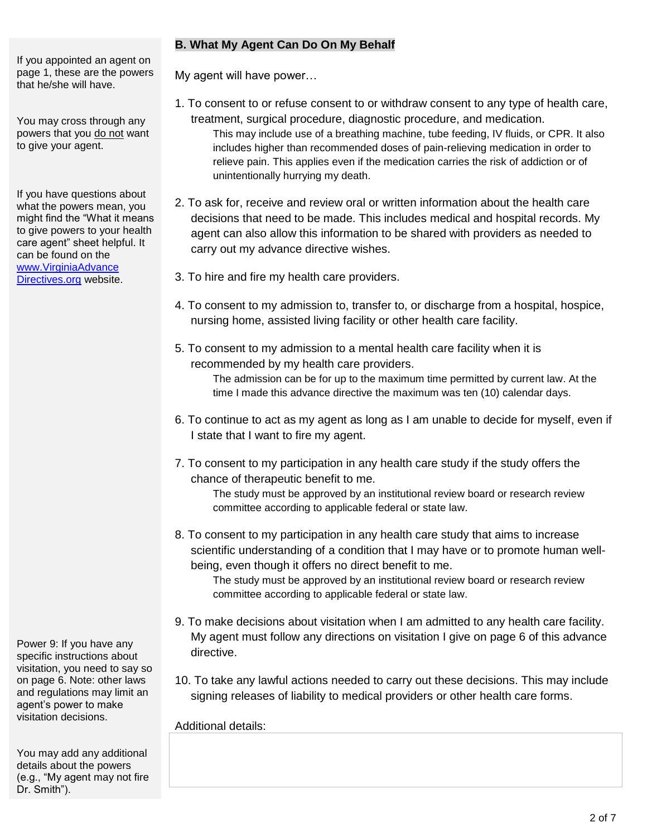If you appointed an agent on page 1, these are the powers that he/she will have.

You may cross through any powers that you do not want to give your agent.

If you have questions about what the powers mean, you might find the "What it means to give powers to your health care agent" sheet helpful. It can be found on the www.VirginiaAdvance Directives.org website.

Power 9: If you have any specific instructions about visitation, you need to say so on page 6. Note: other laws and regulations may limit an agent's power to make visitation decisions.

You may add any additional details about the powers (e.g., "My agent may not fire Dr. Smith").

#### **B. What My Agent Can Do On My Behalf**

My agent will have power…

- 1. To consent to or refuse consent to or withdraw consent to any type of health care, treatment, surgical procedure, diagnostic procedure, and medication.
	- This may include use of a breathing machine, tube feeding, IV fluids, or CPR. It also includes higher than recommended doses of pain-relieving medication in order to relieve pain. This applies even if the medication carries the risk of addiction or of unintentionally hurrying my death.
- 2. To ask for, receive and review oral or written information about the health care decisions that need to be made. This includes medical and hospital records. My agent can also allow this information to be shared with providers as needed to carry out my advance directive wishes.
- 3. To hire and fire my health care providers.
- 4. To consent to my admission to, transfer to, or discharge from a hospital, hospice, nursing home, assisted living facility or other health care facility.
- 5. To consent to my admission to a mental health care facility when it is recommended by my health care providers. The admission can be for up to the maximum time permitted by current law. At the

time I made this advance directive the maximum was ten (10) calendar days.

- 6. To continue to act as my agent as long as I am unable to decide for myself, even if I state that I want to fire my agent.
- 7. To consent to my participation in any health care study if the study offers the chance of therapeutic benefit to me.

The study must be approved by an institutional review board or research review committee according to applicable federal or state law.

8. To consent to my participation in any health care study that aims to increase scientific understanding of a condition that I may have or to promote human wellbeing, even though it offers no direct benefit to me.

The study must be approved by an institutional review board or research review committee according to applicable federal or state law.

- 9. To make decisions about visitation when I am admitted to any health care facility. My agent must follow any directions on visitation I give on page 6 of this advance directive.
- 10. To take any lawful actions needed to carry out these decisions. This may include signing releases of liability to medical providers or other health care forms.

Additional details: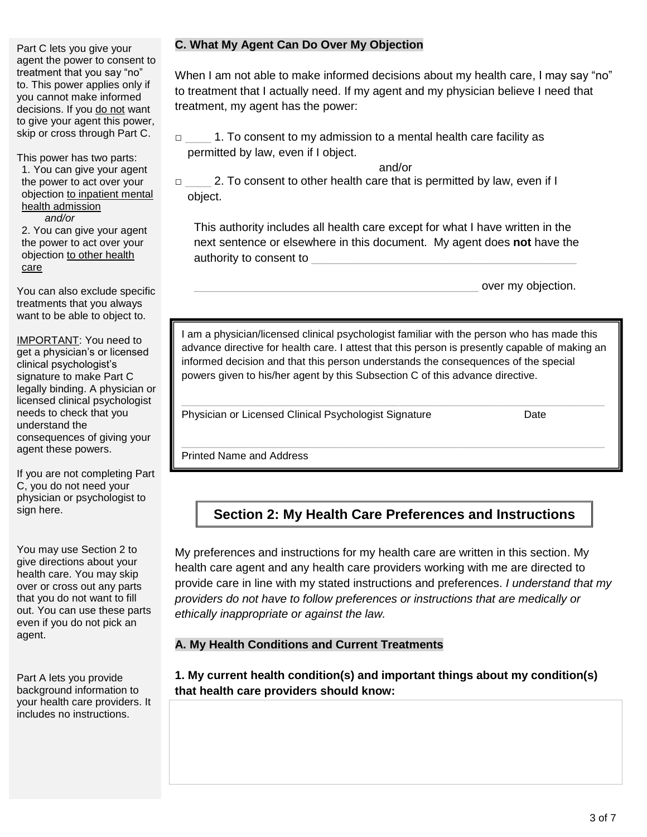Part C lets you give your agent the power to consent to treatment that you say "no" to. This power applies only if you cannot make informed decisions. If you do not want to give your agent this power, skip or cross through Part C.

This power has two parts: 1. You can give your agent the power to act over your objection to inpatient mental health admission  *and/or*

2. You can give your agent the power to act over your objection to other health care

You can also exclude specific treatments that you always want to be able to object to.

IMPORTANT: You need to get a physician's or licensed clinical psychologist's signature to make Part C legally binding. A physician or licensed clinical psychologist needs to check that you understand the consequences of giving your agent these powers.

If you are not completing Part C, you do not need your physician or psychologist to sign here.

You may use Section 2 to give directions about your health care. You may skip over or cross out any parts that you do not want to fill out. You can use these parts even if you do not pick an agent.

Part A lets you provide background information to your health care providers. It includes no instructions.

#### **C. What My Agent Can Do Over My Objection**

When I am not able to make informed decisions about my health care, I may say "no" to treatment that I actually need. If my agent and my physician believe I need that treatment, my agent has the power:

□ \_\_\_\_ 1. To consent to my admission to a mental health care facility as permitted by law, even if I object.

and/or

□ \_\_\_\_\_\_\_ 2. To consent to other health care that is permitted by law, even if I object.

This authority includes all health care except for what I have written in the next sentence or elsewhere in this document. My agent does **not** have the authority to consent to

over my objection.

I am a physician/licensed clinical psychologist familiar with the person who has made this advance directive for health care. I attest that this person is presently capable of making an informed decision and that this person understands the consequences of the special powers given to his/her agent by this Subsection C of this advance directive.

Physician or Licensed Clinical Psychologist Signature Date

Printed Name and Address

## **Section 2: My Health Care Preferences and Instructions**

My preferences and instructions for my health care are written in this section. My health care agent and any health care providers working with me are directed to provide care in line with my stated instructions and preferences. *I understand that my providers do not have to follow preferences or instructions that are medically or ethically inappropriate or against the law.*

#### **A. My Health Conditions and Current Treatments**

**1. My current health condition(s) and important things about my condition(s) that health care providers should know:**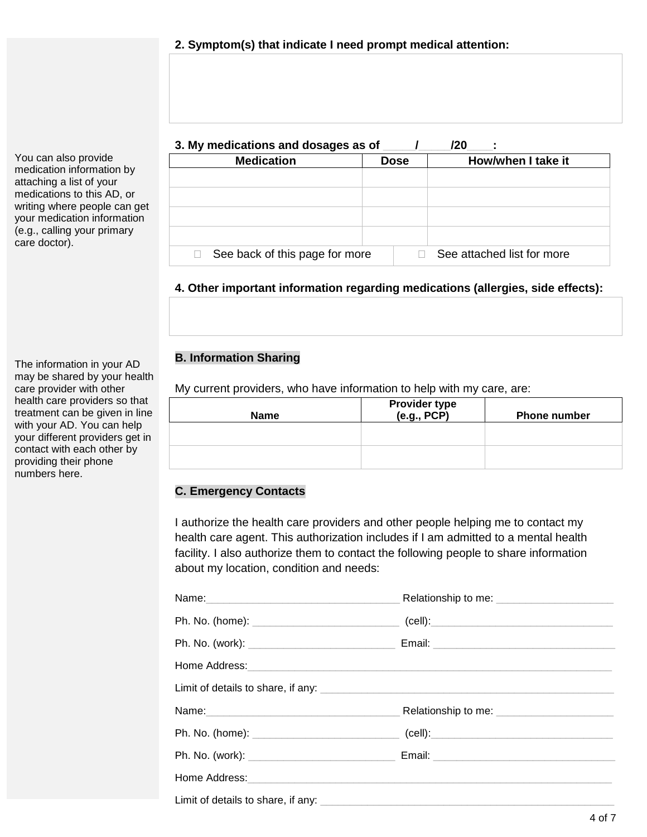You can also provide medication information by attaching a list of your medications to this AD, or writing where people can get your medication information (e.g., calling your primary care doctor).

The information in your AD may be shared by your health care provider with other health care providers so that treatment can be given in line with your AD. You can help your different providers get in contact with each other by providing their phone numbers here.

#### **3. My medications and dosages as of \_\_\_\_\_/\_\_\_\_\_/20\_\_\_\_:**

| <b>Medication</b>              | <b>Dose</b> | How/when I take it         |
|--------------------------------|-------------|----------------------------|
|                                |             |                            |
|                                |             |                            |
|                                |             |                            |
|                                |             |                            |
|                                |             |                            |
| See back of this page for more |             | See attached list for more |

### **4. Other important information regarding medications (allergies, side effects):**

### **B. Information Sharing**

My current providers, who have information to help with my care, are:

| <b>Name</b> | <b>Provider type</b><br>(e.g., PCP) | <b>Phone number</b> |
|-------------|-------------------------------------|---------------------|
|             |                                     |                     |
|             |                                     |                     |

#### **C. Emergency Contacts**

I authorize the health care providers and other people helping me to contact my health care agent. This authorization includes if I am admitted to a mental health facility. I also authorize them to contact the following people to share information about my location, condition and needs:

| Ph. No. (home): ___________________________________(cell):______________________ |  |
|----------------------------------------------------------------------------------|--|
|                                                                                  |  |
|                                                                                  |  |
|                                                                                  |  |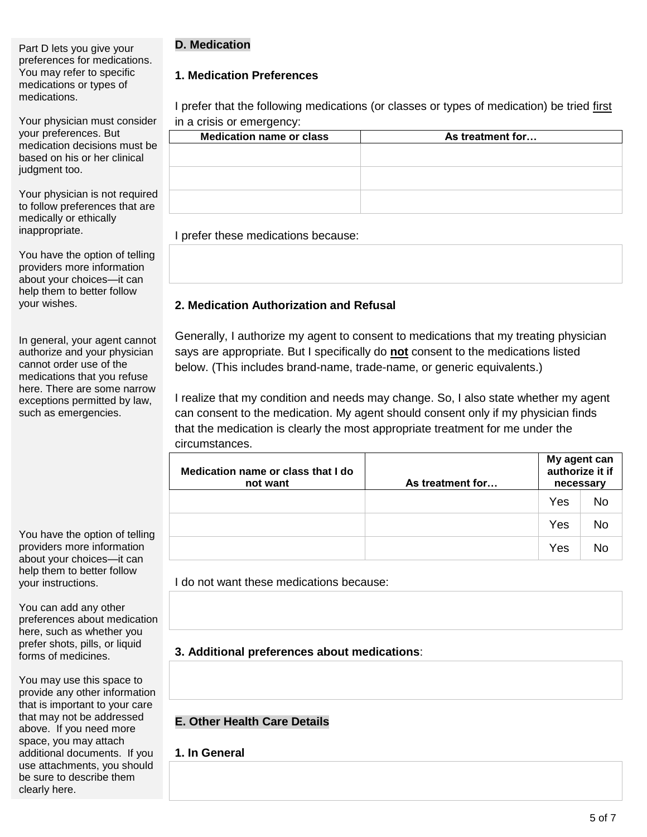#### Part D lets you give your preferences for medications. You may refer to specific medications or types of medications.

Your physician must consider your preferences. But medication decisions must be based on his or her clinical judgment too.

Your physician is not required to follow preferences that are medically or ethically inappropriate.

You have the option of telling providers more information about your choices—it can help them to better follow your wishes.

In general, your agent cannot authorize and your physician cannot order use of the medications that you refuse here. There are some narrow exceptions permitted by law, such as emergencies.

You have the option of telling providers more information about your choices—it can help them to better follow your instructions.

You can add any other preferences about medication here, such as whether you prefer shots, pills, or liquid forms of medicines.

You may use this space to provide any other information that is important to your care that may not be addressed above. If you need more space, you may attach additional documents. If you use attachments, you should be sure to describe them clearly here.

## **D. Medication**

## **1. Medication Preferences**

I prefer that the following medications (or classes or types of medication) be tried first in a crisis or emergency:

| <b>Medication name or class</b> | As treatment for |
|---------------------------------|------------------|
|                                 |                  |
|                                 |                  |
|                                 |                  |
|                                 |                  |
|                                 |                  |
|                                 |                  |

I prefer these medications because:

## **2. Medication Authorization and Refusal**

Generally, I authorize my agent to consent to medications that my treating physician says are appropriate. But I specifically do **not** consent to the medications listed below. (This includes brand-name, trade-name, or generic equivalents.)

I realize that my condition and needs may change. So, I also state whether my agent can consent to the medication. My agent should consent only if my physician finds that the medication is clearly the most appropriate treatment for me under the circumstances.

| Medication name or class that I do<br>not want | As treatment for | My agent can<br>authorize it if<br>necessary |    |
|------------------------------------------------|------------------|----------------------------------------------|----|
|                                                |                  | Yes                                          | No |
|                                                |                  | Yes                                          | No |
|                                                |                  | Yes                                          |    |

I do not want these medications because:

**3. Additional preferences about medications**:

#### **E. Other Health Care Details**

## **1. In General**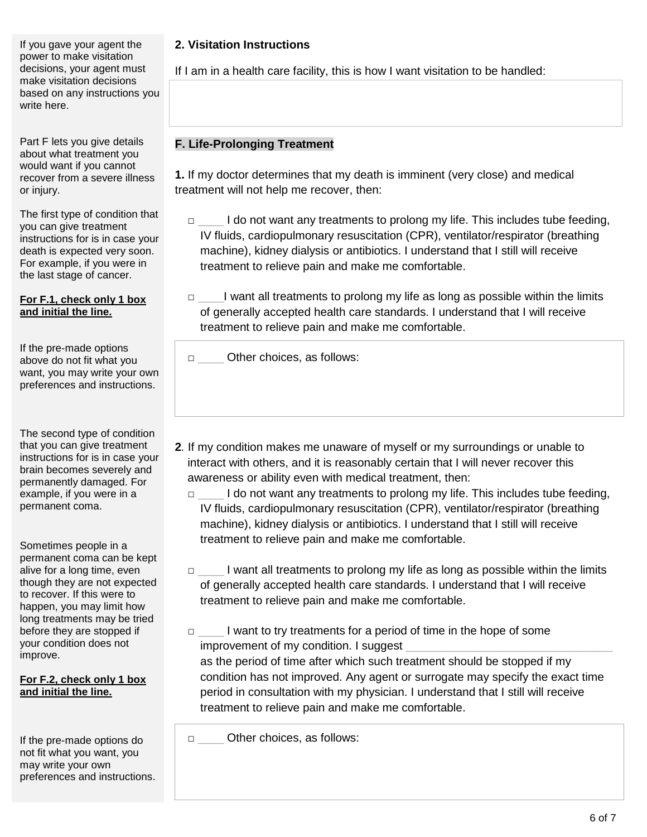If you gave your agent the power to make visitation decisions, your agent must make visitation decisions based on any instructions you write here.

Part F lets you give details about what treatment you would want if you cannot recover from a severe illness or injury.

The first type of condition that you can give treatment instructions for is in case your death is expected very soon. For example, if you were in the last stage of cancer.

#### **For F.1, check only 1 box and initial the line.**

If the pre-made options above do not fit what you want, you may write your own preferences and instructions.

The second type of condition that you can give treatment instructions for is in case your brain becomes severely and permanently damaged. For example, if you were in a permanent coma.

Sometimes people in a permanent coma can be kept alive for a long time, even though they are not expected to recover. If this were to happen, you may limit how long treatments may be tried before they are stopped if your condition does not improve.

#### **For F.2, check only 1 box and initial the line.**

If the pre-made options do not fit what you want, you may write your own preferences and instructions.

## **2. Visitation Instructions**

If I am in a health care facility, this is how I want visitation to be handled:

### **F. Life-Prolonging Treatment**

**1.** If my doctor determines that my death is imminent (very close) and medical treatment will not help me recover, then:

- □ \_\_\_\_ I do not want any treatments to prolong my life. This includes tube feeding, IV fluids, cardiopulmonary resuscitation (CPR), ventilator/respirator (breathing machine), kidney dialysis or antibiotics. I understand that I still will receive treatment to relieve pain and make me comfortable.
- □ \_\_\_\_\_I want all treatments to prolong my life as long as possible within the limits of generally accepted health care standards. I understand that I will receive treatment to relieve pain and make me comfortable.

□ Other choices, as follows:

- **2***.* If my condition makes me unaware of myself or my surroundings or unable to interact with others, and it is reasonably certain that I will never recover this awareness or ability even with medical treatment, then:
	- $\Box$  I do not want any treatments to prolong my life. This includes tube feeding, IV fluids, cardiopulmonary resuscitation (CPR), ventilator/respirator (breathing machine), kidney dialysis or antibiotics. I understand that I still will receive treatment to relieve pain and make me comfortable.
	- □ \_\_\_\_\_\_ I want all treatments to prolong my life as long as possible within the limits of generally accepted health care standards. I understand that I will receive treatment to relieve pain and make me comfortable.
	- □ l want to try treatments for a period of time in the hope of some improvement of my condition. I suggest

as the period of time after which such treatment should be stopped if my condition has not improved. Any agent or surrogate may specify the exact time period in consultation with my physician. I understand that I still will receive treatment to relieve pain and make me comfortable.

□ Other choices, as follows: